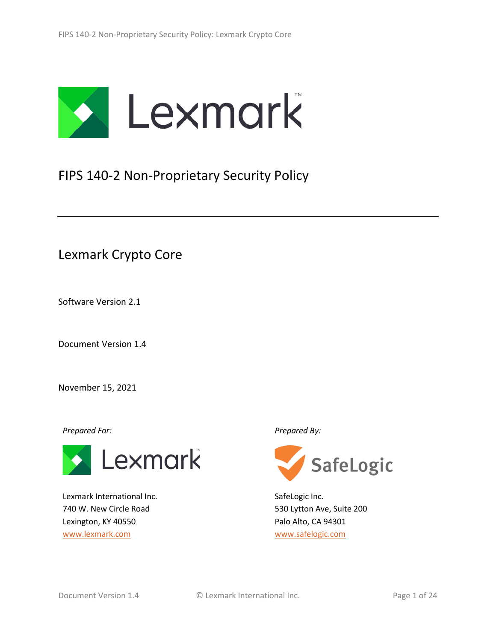

# FIPS 140-2 Non-Proprietary Security Policy

Lexmark Crypto Core

Software Version 2.1

Document Version 1.4

November 15, 2021

*Prepared For: Prepared By:*



Lexmark International Inc. 740 W. New Circle Road Lexington, KY 40550 [www.lexmark.com](http://www.lexmark.com/)



SafeLogic Inc. 530 Lytton Ave, Suite 200 Palo Alto, CA 94301 [www.safelogic.com](http://www.safelogic.com/)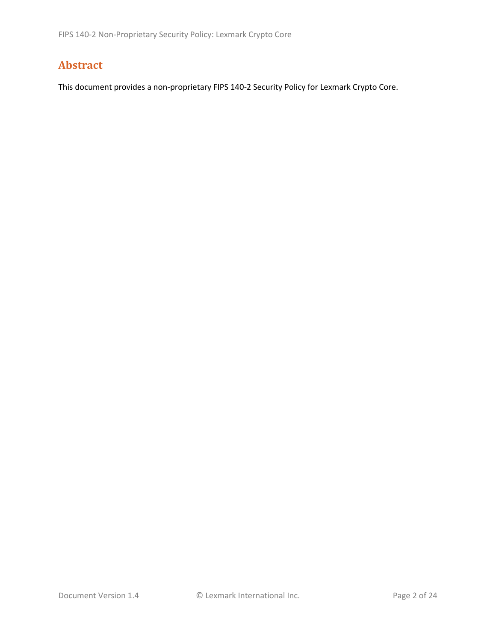# **Abstract**

This document provides a non-proprietary FIPS 140-2 Security Policy for Lexmark Crypto Core.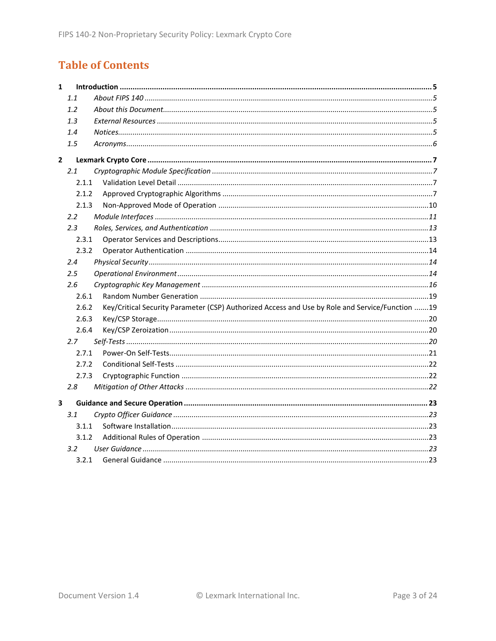# **Table of Contents**

| $\mathbf{1}$ |         |                                                                                                 |  |
|--------------|---------|-------------------------------------------------------------------------------------------------|--|
|              | 1.1     |                                                                                                 |  |
|              | 1.2     |                                                                                                 |  |
|              | 1.3     |                                                                                                 |  |
|              | 1.4     |                                                                                                 |  |
|              | 1.5     |                                                                                                 |  |
| $\mathbf{2}$ |         |                                                                                                 |  |
|              | 2.1     |                                                                                                 |  |
|              | 2.1.1   |                                                                                                 |  |
|              | 2.1.2   |                                                                                                 |  |
|              | 2.1.3   |                                                                                                 |  |
|              | 2.2     |                                                                                                 |  |
|              | 2.3     |                                                                                                 |  |
|              | 2.3.1   |                                                                                                 |  |
|              | 2.3.2   |                                                                                                 |  |
|              | 2.4     |                                                                                                 |  |
|              | $2.5\,$ |                                                                                                 |  |
|              | 2.6     |                                                                                                 |  |
|              | 2.6.1   |                                                                                                 |  |
|              | 2.6.2   | Key/Critical Security Parameter (CSP) Authorized Access and Use by Role and Service/Function 19 |  |
|              | 2.6.3   |                                                                                                 |  |
|              | 2.6.4   |                                                                                                 |  |
|              | 2.7     |                                                                                                 |  |
|              | 2.7.1   |                                                                                                 |  |
|              | 2.7.2   |                                                                                                 |  |
|              | 2.7.3   |                                                                                                 |  |
|              | 2.8     |                                                                                                 |  |
| 3            |         |                                                                                                 |  |
|              | 3.1     |                                                                                                 |  |
|              | 3.1.1   |                                                                                                 |  |
|              | 3.1.2   |                                                                                                 |  |
|              | 3.2     |                                                                                                 |  |
|              | 3.2.1   |                                                                                                 |  |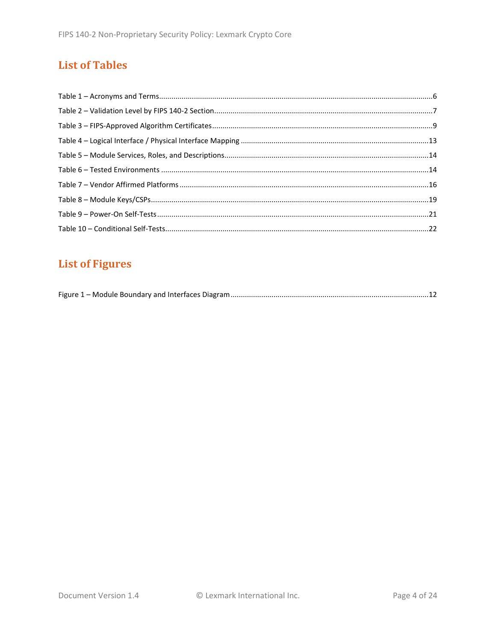# **List of Tables**

# **List of Figures**

|--|--|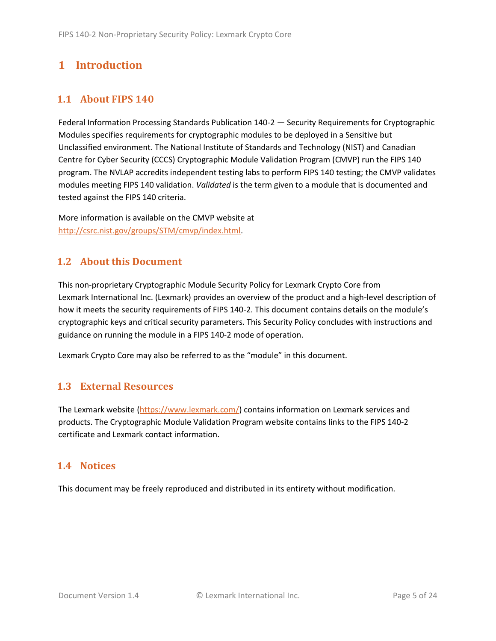# <span id="page-4-0"></span>**1 Introduction**

# <span id="page-4-1"></span>**1.1 About FIPS 140**

Federal Information Processing Standards Publication 140-2 — Security Requirements for Cryptographic Modules specifies requirements for cryptographic modules to be deployed in a Sensitive but Unclassified environment. The National Institute of Standards and Technology (NIST) and Canadian Centre for Cyber Security (CCCS) Cryptographic Module Validation Program (CMVP) run the FIPS 140 program. The NVLAP accredits independent testing labs to perform FIPS 140 testing; the CMVP validates modules meeting FIPS 140 validation. *Validated* is the term given to a module that is documented and tested against the FIPS 140 criteria.

More information is available on the CMVP website at [http://csrc.nist.gov/groups/STM/cmvp/index.html.](http://csrc.nist.gov/groups/STM/cmvp/index.html)

# <span id="page-4-2"></span>**1.2 About this Document**

This non-proprietary Cryptographic Module Security Policy for Lexmark Crypto Core from Lexmark International Inc. (Lexmark) provides an overview of the product and a high-level description of how it meets the security requirements of FIPS 140-2. This document contains details on the module's cryptographic keys and critical security parameters. This Security Policy concludes with instructions and guidance on running the module in a FIPS 140-2 mode of operation.

Lexmark Crypto Core may also be referred to as the "module" in this document.

# <span id="page-4-3"></span>**1.3 External Resources**

The Lexmark website [\(https://www.lexmark.com/\)](https://www.lexmark.com/) contains information on Lexmark services and products. The Cryptographic Module Validation Program website contains links to the FIPS 140-2 certificate and Lexmark contact information.

### <span id="page-4-4"></span>**1.4 Notices**

This document may be freely reproduced and distributed in its entirety without modification.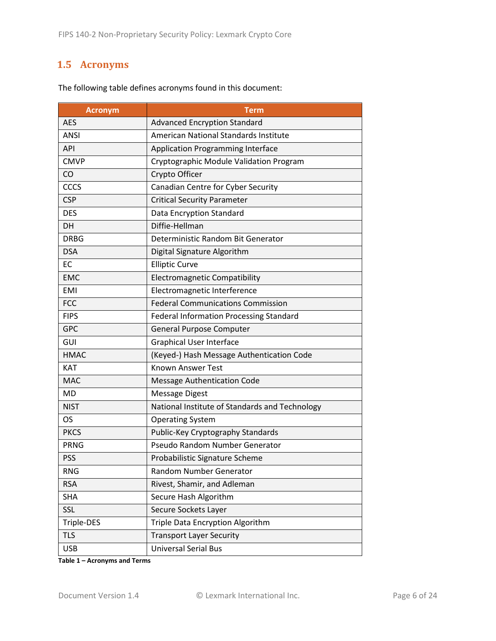# <span id="page-5-0"></span>**1.5 Acronyms**

| <b>Acronym</b> | <b>Term</b>                                    |
|----------------|------------------------------------------------|
| <b>AES</b>     | <b>Advanced Encryption Standard</b>            |
| <b>ANSI</b>    | American National Standards Institute          |
| <b>API</b>     | <b>Application Programming Interface</b>       |
| <b>CMVP</b>    | Cryptographic Module Validation Program        |
| CO             | Crypto Officer                                 |
| <b>CCCS</b>    | Canadian Centre for Cyber Security             |
| <b>CSP</b>     | <b>Critical Security Parameter</b>             |
| <b>DES</b>     | Data Encryption Standard                       |
| DH             | Diffie-Hellman                                 |
| <b>DRBG</b>    | Deterministic Random Bit Generator             |
| <b>DSA</b>     | Digital Signature Algorithm                    |
| <b>EC</b>      | <b>Elliptic Curve</b>                          |
| <b>EMC</b>     | <b>Electromagnetic Compatibility</b>           |
| <b>EMI</b>     | Electromagnetic Interference                   |
| <b>FCC</b>     | <b>Federal Communications Commission</b>       |
| <b>FIPS</b>    | <b>Federal Information Processing Standard</b> |
| <b>GPC</b>     | General Purpose Computer                       |
| GUI            | <b>Graphical User Interface</b>                |
| <b>HMAC</b>    | (Keyed-) Hash Message Authentication Code      |
| <b>KAT</b>     | <b>Known Answer Test</b>                       |
| <b>MAC</b>     | <b>Message Authentication Code</b>             |
| <b>MD</b>      | <b>Message Digest</b>                          |
| <b>NIST</b>    | National Institute of Standards and Technology |
| OS             | <b>Operating System</b>                        |
| <b>PKCS</b>    | Public-Key Cryptography Standards              |
| <b>PRNG</b>    | Pseudo Random Number Generator                 |
| <b>PSS</b>     | Probabilistic Signature Scheme                 |
| <b>RNG</b>     | Random Number Generator                        |
| <b>RSA</b>     | Rivest, Shamir, and Adleman                    |
| <b>SHA</b>     | Secure Hash Algorithm                          |
| SSL            | Secure Sockets Layer                           |
| Triple-DES     | Triple Data Encryption Algorithm               |
| <b>TLS</b>     | <b>Transport Layer Security</b>                |
| <b>USB</b>     | <b>Universal Serial Bus</b>                    |

The following table defines acronyms found in this document:

**Table 1 – Acronyms and Terms**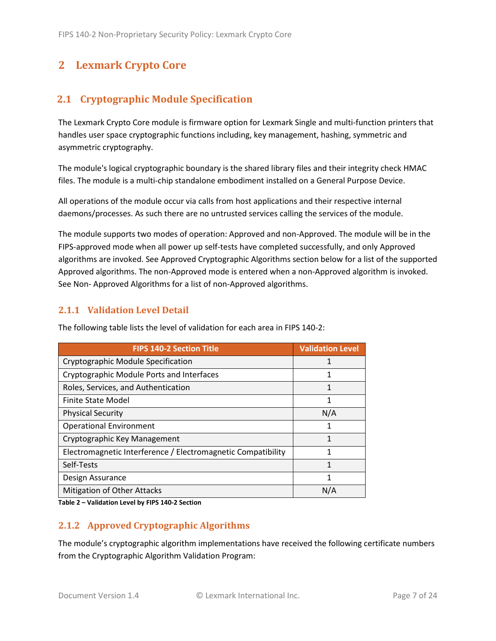# <span id="page-6-0"></span>**2 Lexmark Crypto Core**

# <span id="page-6-1"></span>**2.1 Cryptographic Module Specification**

The Lexmark Crypto Core module is firmware option for Lexmark Single and multi-function printers that handles user space cryptographic functions including, key management, hashing, symmetric and asymmetric cryptography.

The module's logical cryptographic boundary is the shared library files and their integrity check HMAC files. The module is a multi-chip standalone embodiment installed on a General Purpose Device.

All operations of the module occur via calls from host applications and their respective internal daemons/processes. As such there are no untrusted services calling the services of the module.

The module supports two modes of operation: Approved and non-Approved. The module will be in the FIPS-approved mode when all power up self-tests have completed successfully, and only Approved algorithms are invoked. See Approved Cryptographic Algorithms section below for a list of the supported Approved algorithms. The non-Approved mode is entered when a non-Approved algorithm is invoked. See Non- Approved Algorithms for a list of non-Approved algorithms.

### <span id="page-6-2"></span>**2.1.1 Validation Level Detail**

| <b>FIPS 140-2 Section Title</b>                              | <b>Validation Level</b> |
|--------------------------------------------------------------|-------------------------|
| Cryptographic Module Specification                           | 1                       |
| Cryptographic Module Ports and Interfaces                    | 1                       |
| Roles, Services, and Authentication                          | 1                       |
| <b>Finite State Model</b>                                    | 1                       |
| <b>Physical Security</b>                                     | N/A                     |
| <b>Operational Environment</b>                               | 1                       |
| Cryptographic Key Management                                 | 1                       |
| Electromagnetic Interference / Electromagnetic Compatibility | 1                       |
| Self-Tests                                                   | 1                       |
| Design Assurance                                             | 1                       |
| Mitigation of Other Attacks                                  | N/A                     |

The following table lists the level of validation for each area in FIPS 140-2:

**Table 2 – Validation Level by FIPS 140-2 Section**

### <span id="page-6-3"></span>**2.1.2 Approved Cryptographic Algorithms**

The module's cryptographic algorithm implementations have received the following certificate numbers from the Cryptographic Algorithm Validation Program: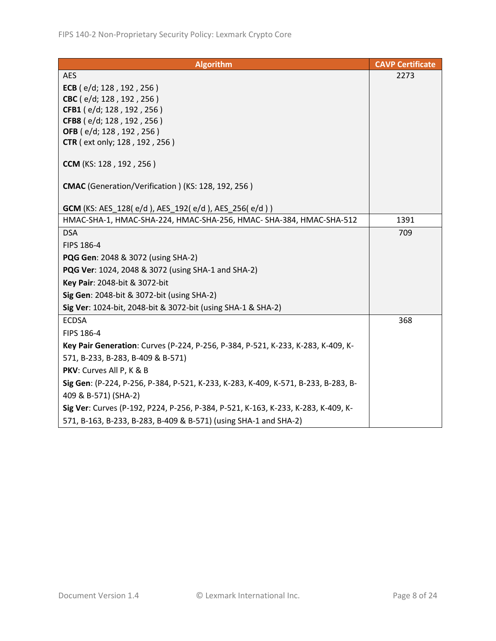| <b>Algorithm</b>                                                                   | <b>CAVP Certificate</b> |
|------------------------------------------------------------------------------------|-------------------------|
| <b>AES</b>                                                                         | 2273                    |
| ECB (e/d; 128, 192, 256)                                                           |                         |
| CBC (e/d; 128, 192, 256)                                                           |                         |
| CFB1 (e/d; 128, 192, 256)                                                          |                         |
| CFB8 (e/d; 128, 192, 256)                                                          |                         |
| OFB (e/d; 128, 192, 256)                                                           |                         |
| <b>CTR</b> (ext only; 128, 192, 256)                                               |                         |
| CCM (KS: 128, 192, 256)                                                            |                         |
| CMAC (Generation/Verification) (KS: 128, 192, 256)                                 |                         |
| <b>GCM</b> (KS: AES_128(e/d), AES_192(e/d), AES_256(e/d))                          |                         |
| HMAC-SHA-1, HMAC-SHA-224, HMAC-SHA-256, HMAC- SHA-384, HMAC-SHA-512                | 1391                    |
| <b>DSA</b>                                                                         | 709                     |
| FIPS 186-4                                                                         |                         |
| <b>PQG Gen: 2048 &amp; 3072 (using SHA-2)</b>                                      |                         |
| <b>PQG Ver:</b> 1024, 2048 & 3072 (using SHA-1 and SHA-2)                          |                         |
| Key Pair: 2048-bit & 3072-bit                                                      |                         |
| Sig Gen: 2048-bit & 3072-bit (using SHA-2)                                         |                         |
| Sig Ver: 1024-bit, 2048-bit & 3072-bit (using SHA-1 & SHA-2)                       |                         |
| <b>ECDSA</b>                                                                       | 368                     |
| FIPS 186-4                                                                         |                         |
| Key Pair Generation: Curves (P-224, P-256, P-384, P-521, K-233, K-283, K-409, K-   |                         |
| 571, B-233, B-283, B-409 & B-571)                                                  |                         |
| PKV: Curves All P, K & B                                                           |                         |
| Sig Gen: (P-224, P-256, P-384, P-521, K-233, K-283, K-409, K-571, B-233, B-283, B- |                         |
| 409 & B-571) (SHA-2)                                                               |                         |
| Sig Ver: Curves (P-192, P224, P-256, P-384, P-521, K-163, K-233, K-283, K-409, K-  |                         |
| 571, B-163, B-233, B-283, B-409 & B-571) (using SHA-1 and SHA-2)                   |                         |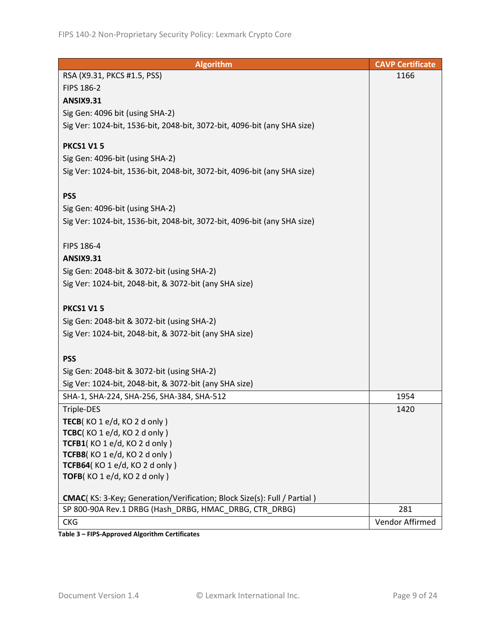| <b>Algorithm</b>                                                                | <b>CAVP Certificate</b> |
|---------------------------------------------------------------------------------|-------------------------|
| RSA (X9.31, PKCS #1.5, PSS)                                                     | 1166                    |
| FIPS 186-2                                                                      |                         |
| <b>ANSIX9.31</b>                                                                |                         |
| Sig Gen: 4096 bit (using SHA-2)                                                 |                         |
| Sig Ver: 1024-bit, 1536-bit, 2048-bit, 3072-bit, 4096-bit (any SHA size)        |                         |
|                                                                                 |                         |
| <b>PKCS1 V15</b>                                                                |                         |
| Sig Gen: 4096-bit (using SHA-2)                                                 |                         |
| Sig Ver: 1024-bit, 1536-bit, 2048-bit, 3072-bit, 4096-bit (any SHA size)        |                         |
|                                                                                 |                         |
| <b>PSS</b>                                                                      |                         |
| Sig Gen: 4096-bit (using SHA-2)                                                 |                         |
| Sig Ver: 1024-bit, 1536-bit, 2048-bit, 3072-bit, 4096-bit (any SHA size)        |                         |
|                                                                                 |                         |
| FIPS 186-4                                                                      |                         |
| <b>ANSIX9.31</b>                                                                |                         |
| Sig Gen: 2048-bit & 3072-bit (using SHA-2)                                      |                         |
| Sig Ver: 1024-bit, 2048-bit, & 3072-bit (any SHA size)                          |                         |
|                                                                                 |                         |
| <b>PKCS1 V15</b>                                                                |                         |
| Sig Gen: 2048-bit & 3072-bit (using SHA-2)                                      |                         |
| Sig Ver: 1024-bit, 2048-bit, & 3072-bit (any SHA size)                          |                         |
|                                                                                 |                         |
| <b>PSS</b>                                                                      |                         |
| Sig Gen: 2048-bit & 3072-bit (using SHA-2)                                      |                         |
| Sig Ver: 1024-bit, 2048-bit, & 3072-bit (any SHA size)                          |                         |
| SHA-1, SHA-224, SHA-256, SHA-384, SHA-512                                       | 1954                    |
| Triple-DES                                                                      | 1420                    |
| TECB( $KO 1 e/d$ , $KO 2 d only$ )                                              |                         |
| TCBC(KO 1 e/d, KO 2 d only)                                                     |                         |
| TCFB1(KO1e/d, KO2donly)                                                         |                         |
| TCFB8(KO1e/d, KO2donly)                                                         |                         |
| TCFB64(KO 1 e/d, KO 2 d only)                                                   |                         |
| TOFB(KO 1 e/d, KO 2 d only)                                                     |                         |
|                                                                                 |                         |
| <b>CMAC</b> (KS: 3-Key; Generation/Verification; Block Size(s): Full / Partial) |                         |
| SP 800-90A Rev.1 DRBG (Hash DRBG, HMAC DRBG, CTR DRBG)                          | 281                     |
| <b>CKG</b>                                                                      | Vendor Affirmed         |

**Table 3 – FIPS-Approved Algorithm Certificates**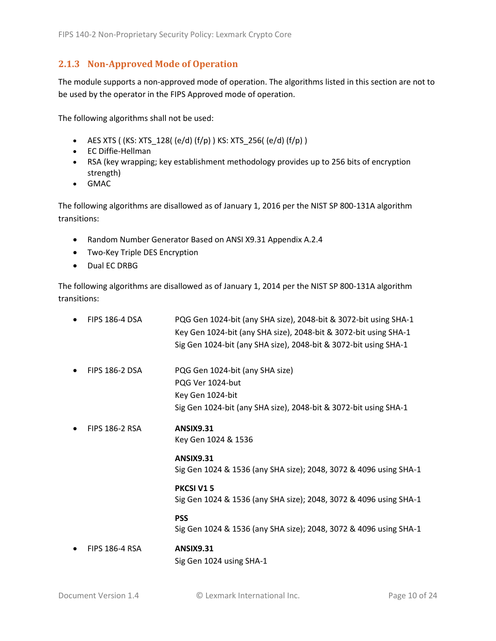### <span id="page-9-0"></span>**2.1.3 Non-Approved Mode of Operation**

The module supports a non-approved mode of operation. The algorithms listed in this section are not to be used by the operator in the FIPS Approved mode of operation.

The following algorithms shall not be used:

- AES XTS (  $(KS: XTS_128$  (  $(e/d)$   $(f/p)$  )  $KS: XTS_256$  (  $(e/d)$   $(f/p)$  )
- EC Diffie-Hellman
- RSA (key wrapping; key establishment methodology provides up to 256 bits of encryption strength)
- GMAC

The following algorithms are disallowed as of January 1, 2016 per the NIST SP 800-131A algorithm transitions:

- Random Number Generator Based on ANSI X9.31 Appendix A.2.4
- Two-Key Triple DES Encryption
- Dual EC DRBG

The following algorithms are disallowed as of January 1, 2014 per the NIST SP 800-131A algorithm transitions:

| <b>FIPS 186-4 DSA</b> | PQG Gen 1024-bit (any SHA size), 2048-bit & 3072-bit using SHA-1<br>Key Gen 1024-bit (any SHA size), 2048-bit & 3072-bit using SHA-1<br>Sig Gen 1024-bit (any SHA size), 2048-bit & 3072-bit using SHA-1 |
|-----------------------|----------------------------------------------------------------------------------------------------------------------------------------------------------------------------------------------------------|
| <b>FIPS 186-2 DSA</b> | PQG Gen 1024-bit (any SHA size)<br>PQG Ver 1024-but<br>Key Gen 1024-bit<br>Sig Gen 1024-bit (any SHA size), 2048-bit & 3072-bit using SHA-1                                                              |
| <b>FIPS 186-2 RSA</b> | <b>ANSIX9.31</b><br>Key Gen 1024 & 1536                                                                                                                                                                  |
|                       | <b>ANSIX9.31</b><br>Sig Gen 1024 & 1536 (any SHA size); 2048, 3072 & 4096 using SHA-1                                                                                                                    |
|                       | PKCSI V15<br>Sig Gen 1024 & 1536 (any SHA size); 2048, 3072 & 4096 using SHA-1                                                                                                                           |
|                       | <b>PSS</b><br>Sig Gen 1024 & 1536 (any SHA size); 2048, 3072 & 4096 using SHA-1                                                                                                                          |
| <b>FIPS 186-4 RSA</b> | <b>ANSIX9.31</b><br>Sig Gen 1024 using SHA-1                                                                                                                                                             |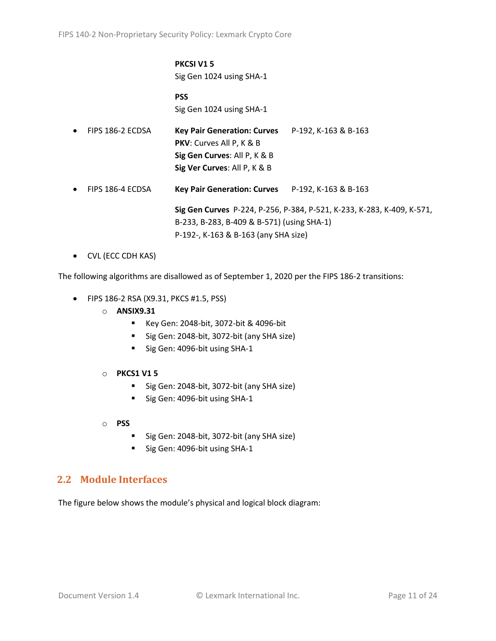#### **PKCSI V1 5** Sig Gen 1024 using SHA-1

**PSS** Sig Gen 1024 using SHA-1

| $\bullet$ | FIPS 186-2 ECDSA | <b>Key Pair Generation: Curves</b><br>PKV: Curves All P, K & B<br>Sig Gen Curves: All P, K & B<br>Sig Ver Curves: All P, K & B | P-192, K-163 & B-163                                                   |
|-----------|------------------|--------------------------------------------------------------------------------------------------------------------------------|------------------------------------------------------------------------|
| $\bullet$ | FIPS 186-4 ECDSA | Key Pair Generation: Curves P-192, K-163 & B-163                                                                               |                                                                        |
|           |                  | B-233, B-283, B-409 & B-571) (using SHA-1)                                                                                     | Sig Gen Curves P-224, P-256, P-384, P-521, K-233, K-283, K-409, K-571, |

P-192-, K-163 & B-163 (any SHA size)

• CVL (ECC CDH KAS)

The following algorithms are disallowed as of September 1, 2020 per the FIPS 186-2 transitions:

- FIPS 186-2 RSA (X9.31, PKCS #1.5, PSS)
	- o **ANSIX9.31**
		- Key Gen: 2048-bit, 3072-bit & 4096-bit
		- Sig Gen: 2048-bit, 3072-bit (any SHA size)
		- Sig Gen: 4096-bit using SHA-1
	- o **PKCS1 V1 5**
		- Sig Gen: 2048-bit, 3072-bit (any SHA size)
		- Sig Gen: 4096-bit using SHA-1
	- o **PSS**
		- Sig Gen: 2048-bit, 3072-bit (any SHA size)
		- Sig Gen: 4096-bit using SHA-1

### <span id="page-10-0"></span>**2.2 Module Interfaces**

The figure below shows the module's physical and logical block diagram: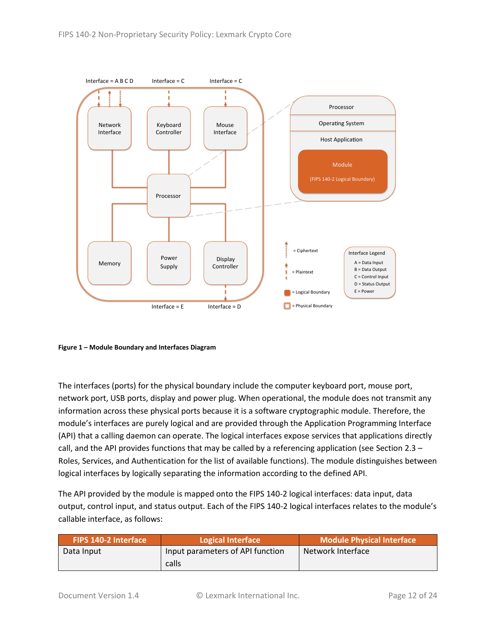

<span id="page-11-0"></span>**Figure 1 – Module Boundary and Interfaces Diagram**

The interfaces (ports) for the physical boundary include the computer keyboard port, mouse port, network port, USB ports, display and power plug. When operational, the module does not transmit any information across these physical ports because it is a software cryptographic module. Therefore, the module's interfaces are purely logical and are provided through the Application Programming Interface (API) that a calling daemon can operate. The logical interfaces expose services that applications directly call, and the API provides functions that may be called by a referencing application (see Sectio[n 2.3](#page-12-0) – [Roles, Services, and Authentication](#page-12-0) for the list of available functions). The module distinguishes between logical interfaces by logically separating the information according to the defined API.

The API provided by the module is mapped onto the FIPS 140-2 logical interfaces: data input, data output, control input, and status output. Each of the FIPS 140-2 logical interfaces relates to the module's callable interface, as follows:

| <b>FIPS 140-2 Interface</b> | Logical Interface                | <b>Module Physical Interface</b> |
|-----------------------------|----------------------------------|----------------------------------|
| Data Input                  | Input parameters of API function | Network Interface                |
|                             | calls                            |                                  |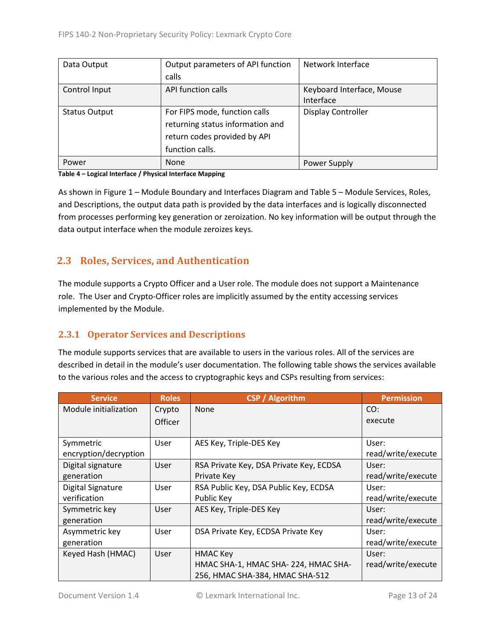| Data Output          | Output parameters of API function | Network Interface         |  |
|----------------------|-----------------------------------|---------------------------|--|
|                      | calls                             |                           |  |
| Control Input        | API function calls                | Keyboard Interface, Mouse |  |
|                      |                                   | Interface                 |  |
| <b>Status Output</b> | For FIPS mode, function calls     | <b>Display Controller</b> |  |
|                      | returning status information and  |                           |  |
|                      | return codes provided by API      |                           |  |
|                      | function calls.                   |                           |  |
| Power                | <b>None</b>                       | Power Supply              |  |

#### **Table 4 – Logical Interface / Physical Interface Mapping**

As shown in Figure 1 – [Module Boundary and Interfaces Diagram](#page-11-0) and Table 5 – Module [Services, Roles,](#page-13-3) [and Descriptions,](#page-13-3) the output data path is provided by the data interfaces and is logically disconnected from processes performing key generation or zeroization. No key information will be output through the data output interface when the module zeroizes keys.

# <span id="page-12-0"></span>**2.3 Roles, Services, and Authentication**

The module supports a Crypto Officer and a User role. The module does not support a Maintenance role. The User and Crypto-Officer roles are implicitly assumed by the entity accessing services implemented by the Module.

# <span id="page-12-1"></span>**2.3.1 Operator Services and Descriptions**

The module supports services that are available to users in the various roles. All of the services are described in detail in the module's user documentation. The following table shows the services available to the various roles and the access to cryptographic keys and CSPs resulting from services:

| <b>Service</b>        | <b>Roles</b> | <b>CSP</b> / Algorithm                  | <b>Permission</b>  |
|-----------------------|--------------|-----------------------------------------|--------------------|
| Module initialization | Crypto       | None                                    | CO:                |
|                       | Officer      |                                         | execute            |
|                       |              |                                         |                    |
| Symmetric             | User         | AES Key, Triple-DES Key                 | User:              |
| encryption/decryption |              |                                         | read/write/execute |
| Digital signature     | User         | RSA Private Key, DSA Private Key, ECDSA | User:              |
| generation            |              | Private Key                             | read/write/execute |
| Digital Signature     | User         | RSA Public Key, DSA Public Key, ECDSA   | User:              |
| verification          |              | Public Key                              | read/write/execute |
| Symmetric key         | User         | AES Key, Triple-DES Key                 | User:              |
| generation            |              |                                         | read/write/execute |
| Asymmetric key        | User         | DSA Private Key, ECDSA Private Key      | User:              |
| generation            |              |                                         | read/write/execute |
| Keyed Hash (HMAC)     | User         | HMAC Key                                | User:              |
|                       |              | HMAC SHA-1, HMAC SHA-224, HMAC SHA-     | read/write/execute |
|                       |              | 256, HMAC SHA-384, HMAC SHA-512         |                    |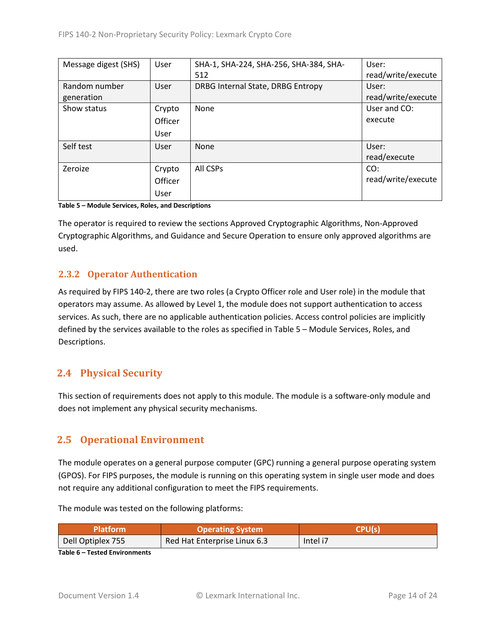| Message digest (SHS) | User    | SHA-1, SHA-224, SHA-256, SHA-384, SHA- | User:              |
|----------------------|---------|----------------------------------------|--------------------|
|                      |         | 512                                    | read/write/execute |
| Random number        | User    | DRBG Internal State, DRBG Entropy      | User:              |
| generation           |         |                                        | read/write/execute |
| Show status          | Crypto  | None                                   | User and CO:       |
|                      | Officer |                                        | execute            |
|                      | User    |                                        |                    |
| Self test            | User    | <b>None</b>                            | User:              |
|                      |         |                                        | read/execute       |
| Zeroize              | Crypto  | All CSPs                               | CO:                |
|                      | Officer |                                        | read/write/execute |
|                      | User    |                                        |                    |

<span id="page-13-3"></span>**Table 5 – Module Services, Roles, and Descriptions**

The operator is required to review the sections Approved Cryptographic Algorithms, Non-Approved Cryptographic Algorithms, and Guidance and Secure Operation to ensure only approved algorithms are used.

## <span id="page-13-0"></span>**2.3.2 Operator Authentication**

As required by FIPS 140-2, there are two roles (a Crypto Officer role and User role) in the module that operators may assume. As allowed by Level 1, the module does not support authentication to access services. As such, there are no applicable authentication policies. Access control policies are implicitly defined by the services available to the roles as specified in Table 5 – Module [Services, Roles,](#page-13-3) and [Descriptions.](#page-13-3)

# <span id="page-13-1"></span>**2.4 Physical Security**

This section of requirements does not apply to this module. The module is a software-only module and does not implement any physical security mechanisms.

# <span id="page-13-2"></span>**2.5 Operational Environment**

The module operates on a general purpose computer (GPC) running a general purpose operating system (GPOS). For FIPS purposes, the module is running on this operating system in single user mode and does not require any additional configuration to meet the FIPS requirements.

The module was tested on the following platforms:

| Platform          | <b>Operating System</b>      | CPI I/c  |
|-------------------|------------------------------|----------|
| Dell Optiplex 755 | Red Hat Enterprise Linux 6.3 | Intel i7 |

**Table 6 – Tested Environments**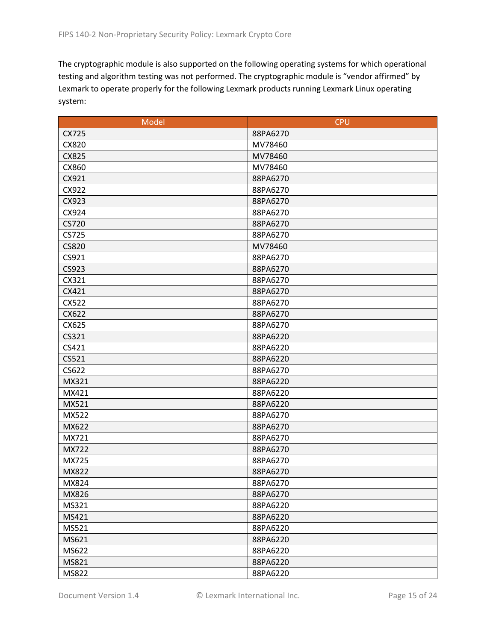The cryptographic module is also supported on the following operating systems for which operational testing and algorithm testing was not performed. The cryptographic module is "vendor affirmed" by Lexmark to operate properly for the following Lexmark products running Lexmark Linux operating system:

| Model        | <b>CPU</b> |
|--------------|------------|
| CX725        | 88PA6270   |
| CX820        | MV78460    |
| CX825        | MV78460    |
| CX860        | MV78460    |
| CX921        | 88PA6270   |
| CX922        | 88PA6270   |
| CX923        | 88PA6270   |
| CX924        | 88PA6270   |
| CS720        | 88PA6270   |
| CS725        | 88PA6270   |
| <b>CS820</b> | MV78460    |
| CS921        | 88PA6270   |
| CS923        | 88PA6270   |
| CX321        | 88PA6270   |
| CX421        | 88PA6270   |
| CX522        | 88PA6270   |
| CX622        | 88PA6270   |
| CX625        | 88PA6270   |
| CS321        | 88PA6220   |
| CS421        | 88PA6220   |
| CS521        | 88PA6220   |
| CS622        | 88PA6270   |
| MX321        | 88PA6220   |
| MX421        | 88PA6220   |
| MX521        | 88PA6220   |
| MX522        | 88PA6270   |
| MX622        | 88PA6270   |
| MX721        | 88PA6270   |
| MX722        | 88PA6270   |
| MX725        | 88PA6270   |
| MX822        | 88PA6270   |
| MX824        | 88PA6270   |
| MX826        | 88PA6270   |
| MS321        | 88PA6220   |
| MS421        | 88PA6220   |
| MS521        | 88PA6220   |
| MS621        | 88PA6220   |
| MS622        | 88PA6220   |
| MS821        | 88PA6220   |
| MS822        | 88PA6220   |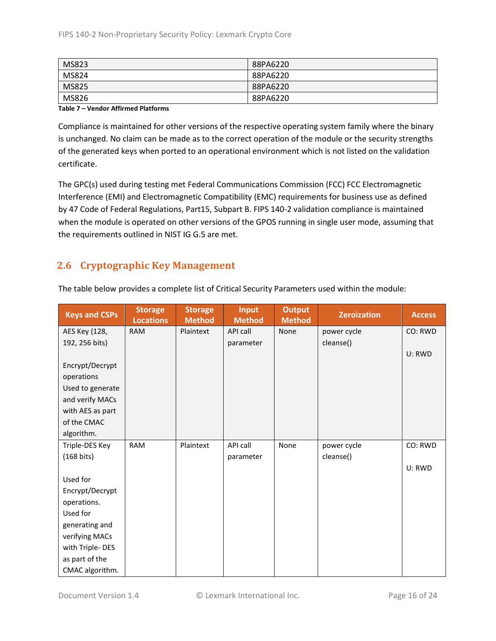| MS823        | 88PA6220 |
|--------------|----------|
| MS824        | 88PA6220 |
| <b>MS825</b> | 88PA6220 |
| MS826        | 88PA6220 |

#### **Table 7 – Vendor Affirmed Platforms**

Compliance is maintained for other versions of the respective operating system family where the binary is unchanged. No claim can be made as to the correct operation of the module or the security strengths of the generated keys when ported to an operational environment which is not listed on the validation certificate.

The GPC(s) used during testing met Federal Communications Commission (FCC) FCC Electromagnetic Interference (EMI) and Electromagnetic Compatibility (EMC) requirements for business use as defined by 47 Code of Federal Regulations, Part15, Subpart B. FIPS 140-2 validation compliance is maintained when the module is operated on other versions of the GPOS running in single user mode, assuming that the requirements outlined in NIST IG G.5 are met.

# <span id="page-15-0"></span>**2.6 Cryptographic Key Management**

| <b>Keys and CSPs</b> | <b>Storage</b><br><b>Locations</b> | <b>Storage</b><br><b>Method</b> | <b>Input</b><br><b>Method</b> | <b>Output</b><br><b>Method</b> | <b>Zeroization</b> | <b>Access</b> |
|----------------------|------------------------------------|---------------------------------|-------------------------------|--------------------------------|--------------------|---------------|
| AES Key (128,        | <b>RAM</b>                         | Plaintext                       | API call                      | None                           | power cycle        | CO: RWD       |
| 192, 256 bits)       |                                    |                                 | parameter                     |                                | cleanse()          |               |
|                      |                                    |                                 |                               |                                |                    | U: RWD        |
| Encrypt/Decrypt      |                                    |                                 |                               |                                |                    |               |
| operations           |                                    |                                 |                               |                                |                    |               |
| Used to generate     |                                    |                                 |                               |                                |                    |               |
| and verify MACs      |                                    |                                 |                               |                                |                    |               |
| with AES as part     |                                    |                                 |                               |                                |                    |               |
| of the CMAC          |                                    |                                 |                               |                                |                    |               |
| algorithm.           |                                    |                                 |                               |                                |                    |               |
| Triple-DES Key       | <b>RAM</b>                         | Plaintext                       | API call                      | None                           | power cycle        | CO: RWD       |
| $(168 \text{ bits})$ |                                    |                                 | parameter                     |                                | cleanse()          |               |
|                      |                                    |                                 |                               |                                |                    | U: RWD        |
| Used for             |                                    |                                 |                               |                                |                    |               |
| Encrypt/Decrypt      |                                    |                                 |                               |                                |                    |               |
| operations.          |                                    |                                 |                               |                                |                    |               |
| Used for             |                                    |                                 |                               |                                |                    |               |
| generating and       |                                    |                                 |                               |                                |                    |               |
| verifying MACs       |                                    |                                 |                               |                                |                    |               |
| with Triple-DES      |                                    |                                 |                               |                                |                    |               |
| as part of the       |                                    |                                 |                               |                                |                    |               |
| CMAC algorithm.      |                                    |                                 |                               |                                |                    |               |

The table below provides a complete list of Critical Security Parameters used within the module: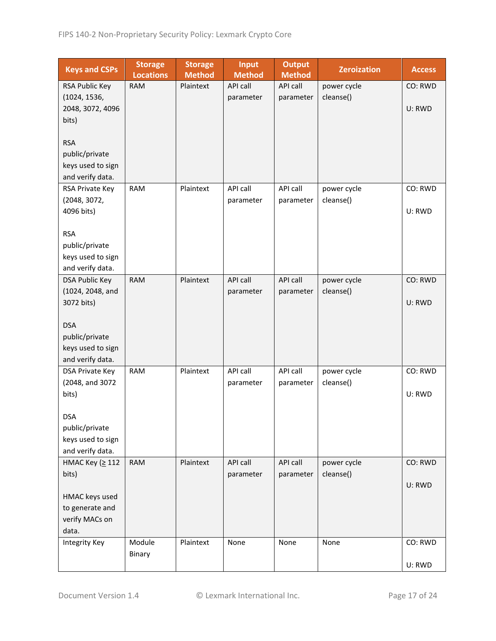| <b>Keys and CSPs</b>           | <b>Storage</b><br><b>Locations</b> | <b>Storage</b><br><b>Method</b> | <b>Input</b><br><b>Method</b> | <b>Output</b><br><b>Method</b> | <b>Zeroization</b> | <b>Access</b> |
|--------------------------------|------------------------------------|---------------------------------|-------------------------------|--------------------------------|--------------------|---------------|
| RSA Public Key                 | <b>RAM</b>                         | Plaintext                       | API call                      | API call                       | power cycle        | CO: RWD       |
| (1024, 1536,                   |                                    |                                 | parameter                     | parameter                      | cleanse()          |               |
| 2048, 3072, 4096               |                                    |                                 |                               |                                |                    | U: RWD        |
| bits)                          |                                    |                                 |                               |                                |                    |               |
|                                |                                    |                                 |                               |                                |                    |               |
| <b>RSA</b>                     |                                    |                                 |                               |                                |                    |               |
| public/private                 |                                    |                                 |                               |                                |                    |               |
| keys used to sign              |                                    |                                 |                               |                                |                    |               |
| and verify data.               |                                    |                                 |                               |                                |                    |               |
| RSA Private Key                | <b>RAM</b>                         | Plaintext                       | API call                      | API call                       | power cycle        | CO: RWD       |
| (2048, 3072,                   |                                    |                                 | parameter                     | parameter                      | cleanse()          |               |
| 4096 bits)                     |                                    |                                 |                               |                                |                    | U: RWD        |
|                                |                                    |                                 |                               |                                |                    |               |
| <b>RSA</b>                     |                                    |                                 |                               |                                |                    |               |
| public/private                 |                                    |                                 |                               |                                |                    |               |
| keys used to sign              |                                    |                                 |                               |                                |                    |               |
| and verify data.               |                                    | Plaintext                       | API call                      |                                |                    |               |
| <b>DSA Public Key</b>          | <b>RAM</b>                         |                                 |                               | API call                       | power cycle        | CO: RWD       |
| (1024, 2048, and<br>3072 bits) |                                    |                                 | parameter                     | parameter                      | cleanse()          | U: RWD        |
|                                |                                    |                                 |                               |                                |                    |               |
| <b>DSA</b>                     |                                    |                                 |                               |                                |                    |               |
| public/private                 |                                    |                                 |                               |                                |                    |               |
| keys used to sign              |                                    |                                 |                               |                                |                    |               |
| and verify data.               |                                    |                                 |                               |                                |                    |               |
| DSA Private Key                | <b>RAM</b>                         | Plaintext                       | API call                      | API call                       | power cycle        | CO: RWD       |
| (2048, and 3072                |                                    |                                 | parameter                     | parameter                      | cleanse()          |               |
| bits)                          |                                    |                                 |                               |                                |                    | U: RWD        |
|                                |                                    |                                 |                               |                                |                    |               |
| <b>DSA</b>                     |                                    |                                 |                               |                                |                    |               |
| public/private                 |                                    |                                 |                               |                                |                    |               |
| keys used to sign              |                                    |                                 |                               |                                |                    |               |
| and verify data.               |                                    |                                 |                               |                                |                    |               |
| HMAC Key (≥ 112                | <b>RAM</b>                         | Plaintext                       | API call                      | API call                       | power cycle        | CO: RWD       |
| bits)                          |                                    |                                 | parameter                     | parameter                      | cleanse()          |               |
|                                |                                    |                                 |                               |                                |                    | U: RWD        |
| HMAC keys used                 |                                    |                                 |                               |                                |                    |               |
| to generate and                |                                    |                                 |                               |                                |                    |               |
| verify MACs on                 |                                    |                                 |                               |                                |                    |               |
| data.                          |                                    |                                 |                               |                                |                    |               |
| Integrity Key                  | Module                             | Plaintext                       | None                          | None                           | None               | CO: RWD       |
|                                | Binary                             |                                 |                               |                                |                    |               |
|                                |                                    |                                 |                               |                                |                    | U: RWD        |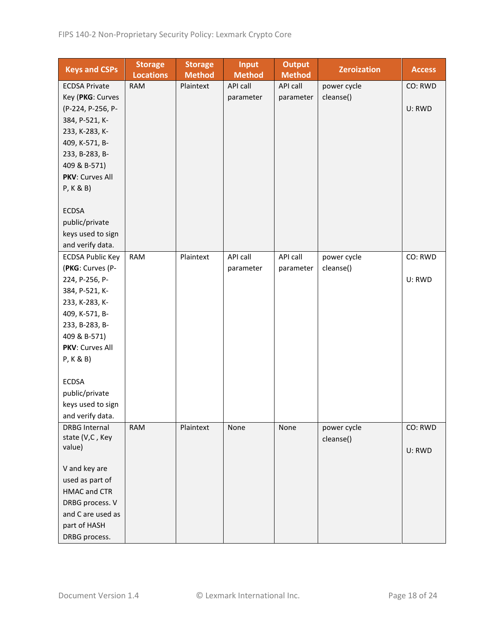| <b>Keys and CSPs</b>             | <b>Storage</b><br><b>Locations</b> | <b>Storage</b><br><b>Method</b> | <b>Input</b><br><b>Method</b> | <b>Output</b><br><b>Method</b> | <b>Zeroization</b> | <b>Access</b> |
|----------------------------------|------------------------------------|---------------------------------|-------------------------------|--------------------------------|--------------------|---------------|
| <b>ECDSA Private</b>             | <b>RAM</b>                         | Plaintext                       | API call                      | API call                       | power cycle        | CO: RWD       |
| Key (PKG: Curves                 |                                    |                                 | parameter                     | parameter                      | cleanse()          |               |
| (P-224, P-256, P-                |                                    |                                 |                               |                                |                    | U: RWD        |
| 384, P-521, K-                   |                                    |                                 |                               |                                |                    |               |
| 233, K-283, K-                   |                                    |                                 |                               |                                |                    |               |
| 409, K-571, B-                   |                                    |                                 |                               |                                |                    |               |
| 233, B-283, B-                   |                                    |                                 |                               |                                |                    |               |
| 409 & B-571)                     |                                    |                                 |                               |                                |                    |               |
| PKV: Curves All                  |                                    |                                 |                               |                                |                    |               |
| P, K & B)                        |                                    |                                 |                               |                                |                    |               |
|                                  |                                    |                                 |                               |                                |                    |               |
| <b>ECDSA</b>                     |                                    |                                 |                               |                                |                    |               |
| public/private                   |                                    |                                 |                               |                                |                    |               |
| keys used to sign                |                                    |                                 |                               |                                |                    |               |
| and verify data.                 |                                    |                                 |                               |                                |                    |               |
| <b>ECDSA Public Key</b>          | <b>RAM</b>                         | Plaintext                       | API call                      | API call                       | power cycle        | CO: RWD       |
| (PKG: Curves (P-                 |                                    |                                 | parameter                     | parameter                      | cleanse()          |               |
| 224, P-256, P-                   |                                    |                                 |                               |                                |                    | U: RWD        |
| 384, P-521, K-                   |                                    |                                 |                               |                                |                    |               |
| 233, K-283, K-                   |                                    |                                 |                               |                                |                    |               |
| 409, K-571, B-                   |                                    |                                 |                               |                                |                    |               |
| 233, B-283, B-                   |                                    |                                 |                               |                                |                    |               |
| 409 & B-571)                     |                                    |                                 |                               |                                |                    |               |
| PKV: Curves All                  |                                    |                                 |                               |                                |                    |               |
| P, K & B)                        |                                    |                                 |                               |                                |                    |               |
|                                  |                                    |                                 |                               |                                |                    |               |
| <b>ECDSA</b>                     |                                    |                                 |                               |                                |                    |               |
| public/private                   |                                    |                                 |                               |                                |                    |               |
| keys used to sign                |                                    |                                 |                               |                                |                    |               |
| and verify data.                 |                                    |                                 |                               |                                |                    |               |
| <b>DRBG Internal</b>             | <b>RAM</b>                         | Plaintext                       | None                          | None                           | power cycle        | CO: RWD       |
| state (V,C, Key                  |                                    |                                 |                               |                                | cleanse()          |               |
| value)                           |                                    |                                 |                               |                                |                    | U: RWD        |
|                                  |                                    |                                 |                               |                                |                    |               |
| V and key are<br>used as part of |                                    |                                 |                               |                                |                    |               |
| <b>HMAC and CTR</b>              |                                    |                                 |                               |                                |                    |               |
| DRBG process. V                  |                                    |                                 |                               |                                |                    |               |
| and C are used as                |                                    |                                 |                               |                                |                    |               |
| part of HASH                     |                                    |                                 |                               |                                |                    |               |
|                                  |                                    |                                 |                               |                                |                    |               |
| DRBG process.                    |                                    |                                 |                               |                                |                    |               |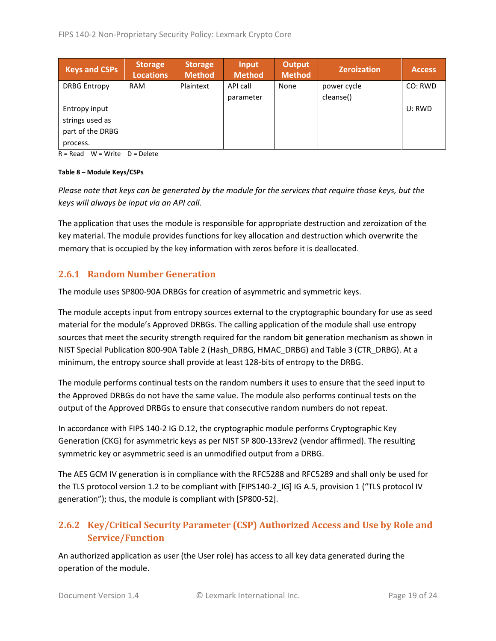| <b>Keys and CSPs</b> | <b>Storage</b><br><b>Locations</b> | <b>Storage</b><br><b>Method</b> | Input<br><b>Method</b> | <b>Output</b><br><b>Method</b> | <b>Zeroization</b> | <b>Access</b> |
|----------------------|------------------------------------|---------------------------------|------------------------|--------------------------------|--------------------|---------------|
| <b>DRBG Entropy</b>  | <b>RAM</b>                         | Plaintext                       | API call               | None                           | power cycle        | CO: RWD       |
|                      |                                    |                                 | parameter              |                                | cleanse()          |               |
| Entropy input        |                                    |                                 |                        |                                |                    | U: RWD        |
| strings used as      |                                    |                                 |                        |                                |                    |               |
| part of the DRBG     |                                    |                                 |                        |                                |                    |               |
| process.             |                                    |                                 |                        |                                |                    |               |

 $R = Read$  W = Write D = Delete

#### **Table 8 – Module Keys/CSPs**

*Please note that keys can be generated by the module for the services that require those keys, but the keys will always be input via an API call.*

The application that uses the module is responsible for appropriate destruction and zeroization of the key material. The module provides functions for key allocation and destruction which overwrite the memory that is occupied by the key information with zeros before it is deallocated.

#### <span id="page-18-0"></span>**2.6.1 Random Number Generation**

The module uses SP800-90A DRBGs for creation of asymmetric and symmetric keys.

The module accepts input from entropy sources external to the cryptographic boundary for use as seed material for the module's Approved DRBGs. The calling application of the module shall use entropy sources that meet the security strength required for the random bit generation mechanism as shown in NIST Special Publication 800-90A Table 2 (Hash\_DRBG, HMAC\_DRBG) and Table 3 (CTR\_DRBG). At a minimum, the entropy source shall provide at least 128-bits of entropy to the DRBG.

The module performs continual tests on the random numbers it uses to ensure that the seed input to the Approved DRBGs do not have the same value. The module also performs continual tests on the output of the Approved DRBGs to ensure that consecutive random numbers do not repeat.

In accordance with FIPS 140-2 IG D.12, the cryptographic module performs Cryptographic Key Generation (CKG) for asymmetric keys as per NIST SP 800-133rev2 (vendor affirmed). The resulting symmetric key or asymmetric seed is an unmodified output from a DRBG.

The AES GCM IV generation is in compliance with the RFC5288 and RFC5289 and shall only be used for the TLS protocol version 1.2 to be compliant with [FIPS140-2\_IG] IG A.5, provision 1 ("TLS protocol IV generation"); thus, the module is compliant with [SP800-52].

# <span id="page-18-1"></span>**2.6.2 Key/Critical Security Parameter (CSP) Authorized Access and Use by Role and Service/Function**

An authorized application as user (the User role) has access to all key data generated during the operation of the module.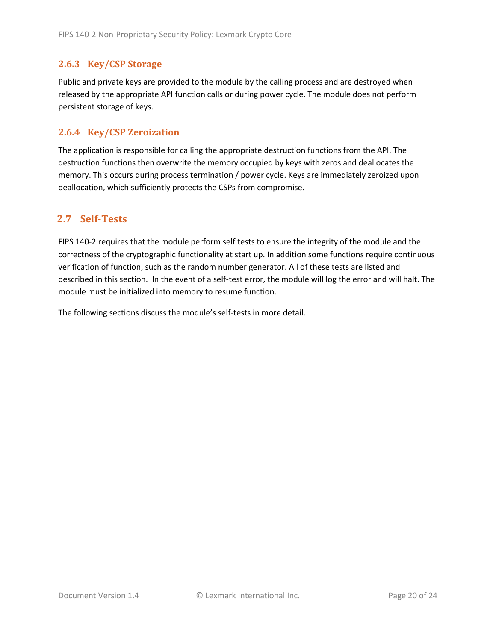## <span id="page-19-0"></span>**2.6.3 Key/CSP Storage**

Public and private keys are provided to the module by the calling process and are destroyed when released by the appropriate API function calls or during power cycle. The module does not perform persistent storage of keys.

### <span id="page-19-1"></span>**2.6.4 Key/CSP Zeroization**

The application is responsible for calling the appropriate destruction functions from the API. The destruction functions then overwrite the memory occupied by keys with zeros and deallocates the memory. This occurs during process termination / power cycle. Keys are immediately zeroized upon deallocation, which sufficiently protects the CSPs from compromise.

## <span id="page-19-2"></span>**2.7 Self-Tests**

FIPS 140-2 requires that the module perform self tests to ensure the integrity of the module and the correctness of the cryptographic functionality at start up. In addition some functions require continuous verification of function, such as the random number generator. All of these tests are listed and described in this section. In the event of a self-test error, the module will log the error and will halt. The module must be initialized into memory to resume function.

The following sections discuss the module's self-tests in more detail.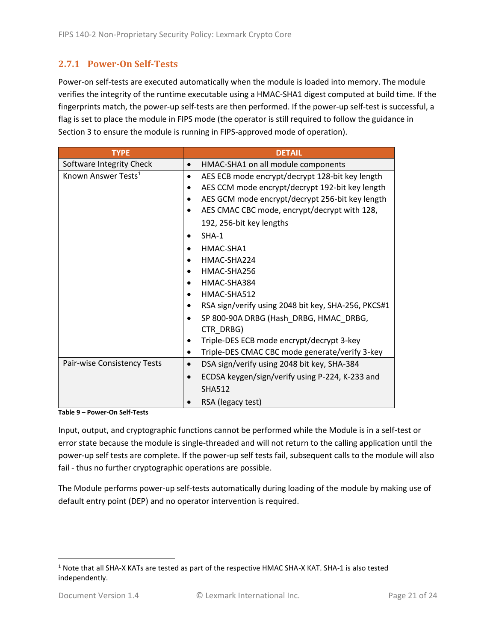# <span id="page-20-0"></span>**2.7.1 Power-On Self-Tests**

Power-on self-tests are executed automatically when the module is loaded into memory. The module verifies the integrity of the runtime executable using a HMAC-SHA1 digest computed at build time. If the fingerprints match, the power-up self-tests are then performed. If the power-up self-test is successful, a flag is set to place the module in FIPS mode (the operator is still required to follow the guidance in Section 3 to ensure the module is running in FIPS-approved mode of operation).

| <b>TYPE</b>                     | <b>DETAIL</b>                                        |
|---------------------------------|------------------------------------------------------|
| Software Integrity Check        | HMAC-SHA1 on all module components                   |
| Known Answer Tests <sup>1</sup> | AES ECB mode encrypt/decrypt 128-bit key length<br>٠ |
|                                 | AES CCM mode encrypt/decrypt 192-bit key length      |
|                                 | AES GCM mode encrypt/decrypt 256-bit key length      |
|                                 | AES CMAC CBC mode, encrypt/decrypt with 128,         |
|                                 | 192, 256-bit key lengths                             |
|                                 | $SHA-1$                                              |
|                                 | HMAC-SHA1                                            |
|                                 | HMAC-SHA224                                          |
|                                 | HMAC-SHA256                                          |
|                                 | HMAC-SHA384                                          |
|                                 | HMAC-SHA512                                          |
|                                 | RSA sign/verify using 2048 bit key, SHA-256, PKCS#1  |
|                                 | SP 800-90A DRBG (Hash_DRBG, HMAC_DRBG,               |
|                                 | CTR_DRBG)                                            |
|                                 | Triple-DES ECB mode encrypt/decrypt 3-key            |
|                                 | Triple-DES CMAC CBC mode generate/verify 3-key       |
| Pair-wise Consistency Tests     | DSA sign/verify using 2048 bit key, SHA-384          |
|                                 | ECDSA keygen/sign/verify using P-224, K-233 and      |
|                                 | <b>SHA512</b>                                        |
|                                 | RSA (legacy test)                                    |

**Table 9 – Power-On Self-Tests**

Input, output, and cryptographic functions cannot be performed while the Module is in a self-test or error state because the module is single-threaded and will not return to the calling application until the power-up self tests are complete. If the power-up self tests fail, subsequent calls to the module will also fail - thus no further cryptographic operations are possible.

The Module performs power-up self-tests automatically during loading of the module by making use of default entry point (DEP) and no operator intervention is required.

<sup>1</sup> Note that all SHA-X KATs are tested as part of the respective HMAC SHA-X KAT. SHA-1 is also tested independently.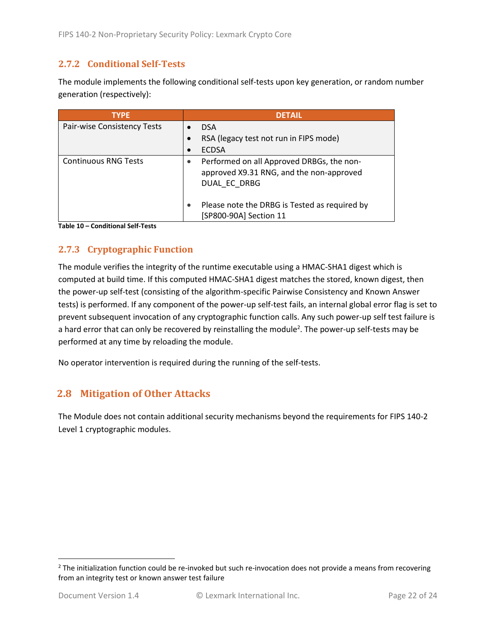### <span id="page-21-0"></span>**2.7.2 Conditional Self-Tests**

The module implements the following conditional self-tests upon key generation, or random number generation (respectively):

| <b>TYPE</b>                 | <b>DETAIL</b>                                                                                         |
|-----------------------------|-------------------------------------------------------------------------------------------------------|
| Pair-wise Consistency Tests | <b>DSA</b>                                                                                            |
|                             | RSA (legacy test not run in FIPS mode)                                                                |
|                             | <b>ECDSA</b>                                                                                          |
| <b>Continuous RNG Tests</b> | Performed on all Approved DRBGs, the non-<br>approved X9.31 RNG, and the non-approved<br>DUAL EC DRBG |
|                             | Please note the DRBG is Tested as required by<br>[SP800-90A] Section 11                               |

**Table 10 – Conditional Self-Tests**

## <span id="page-21-1"></span>**2.7.3 Cryptographic Function**

The module verifies the integrity of the runtime executable using a HMAC-SHA1 digest which is computed at build time. If this computed HMAC-SHA1 digest matches the stored, known digest, then the power-up self-test (consisting of the algorithm-specific Pairwise Consistency and Known Answer tests) is performed. If any component of the power-up self-test fails, an internal global error flag is set to prevent subsequent invocation of any cryptographic function calls. Any such power-up self test failure is a hard error that can only be recovered by reinstalling the module<sup>2</sup>. The power-up self-tests may be performed at any time by reloading the module.

No operator intervention is required during the running of the self-tests.

# <span id="page-21-2"></span>**2.8 Mitigation of Other Attacks**

The Module does not contain additional security mechanisms beyond the requirements for FIPS 140-2 Level 1 cryptographic modules.

 $2$  The initialization function could be re-invoked but such re-invocation does not provide a means from recovering from an integrity test or known answer test failure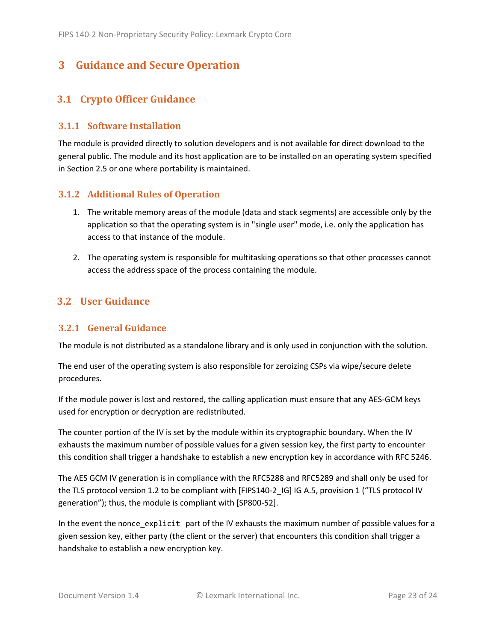# <span id="page-22-0"></span>**3 Guidance and Secure Operation**

# <span id="page-22-1"></span>**3.1 Crypto Officer Guidance**

#### <span id="page-22-2"></span>**3.1.1 Software Installation**

The module is provided directly to solution developers and is not available for direct download to the general public. The module and its host application are to be installed on an operating system specified in Section [2.5](#page-13-2) or one where portability is maintained.

#### <span id="page-22-3"></span>**3.1.2 Additional Rules of Operation**

- 1. The writable memory areas of the module (data and stack segments) are accessible only by the application so that the operating system is in "single user" mode, i.e. only the application has access to that instance of the module.
- 2. The operating system is responsible for multitasking operations so that other processes cannot access the address space of the process containing the module.

### <span id="page-22-4"></span>**3.2 User Guidance**

#### <span id="page-22-5"></span>**3.2.1 General Guidance**

The module is not distributed as a standalone library and is only used in conjunction with the solution.

The end user of the operating system is also responsible for zeroizing CSPs via wipe/secure delete procedures.

If the module power is lost and restored, the calling application must ensure that any AES-GCM keys used for encryption or decryption are redistributed.

The counter portion of the IV is set by the module within its cryptographic boundary. When the IV exhausts the maximum number of possible values for a given session key, the first party to encounter this condition shall trigger a handshake to establish a new encryption key in accordance with RFC 5246.

The AES GCM IV generation is in compliance with the RFC5288 and RFC5289 and shall only be used for the TLS protocol version 1.2 to be compliant with [FIPS140-2 IG] IG A.5, provision 1 ("TLS protocol IV generation"); thus, the module is compliant with [SP800-52].

In the event the nonce\_explicit part of the IV exhausts the maximum number of possible values for a given session key, either party (the client or the server) that encounters this condition shall trigger a handshake to establish a new encryption key.